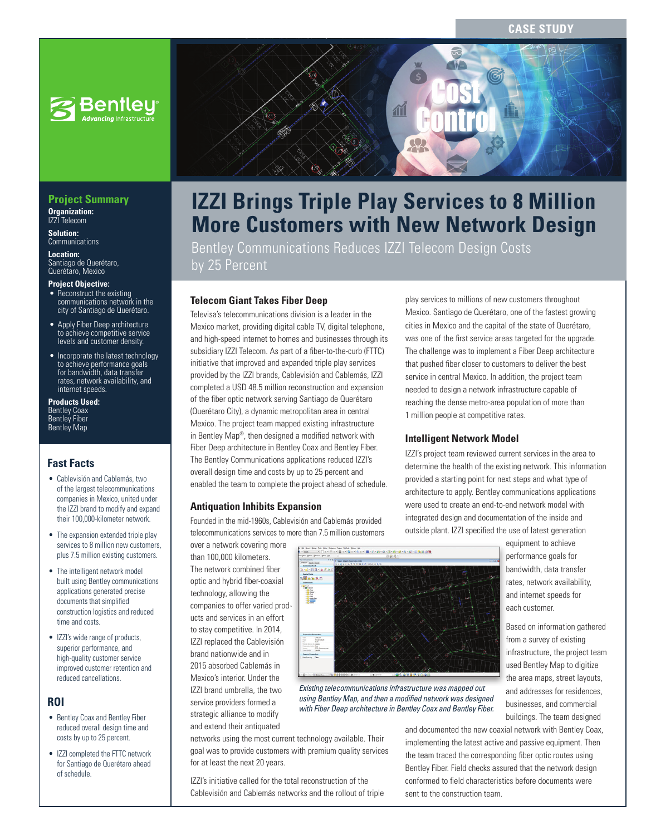### **CASE STUDY**



#### **Project Summary Organization:**  IZZI Telecom

**Solution: Communications** 

**Location:**  Santiago de Querétaro, Querétaro, Mexico

#### **Project Objective:**

- Reconstruct the existing communications network in the city of Santiago de Querétaro.
- Apply Fiber Deep architecture to achieve competitive service levels and customer density.
- Incorporate the latest technology to achieve performance goals for bandwidth, data transfer rates, network availability, and internet speeds.

**Products Used:** Bentley Coax Bentley Fiber Bentley Map

## **Fast Facts**

- Cablevisión and Cablemás, two of the largest telecommunications companies in Mexico, united under the IZZI brand to modify and expand their 100,000-kilometer network.
- The expansion extended triple play services to 8 million new customers, plus 7.5 million existing customers.
- The intelligent network model built using Bentley communications applications generated precise documents that simplified construction logistics and reduced time and costs.
- IZZI's wide range of products, superior performance, and high-quality customer service improved customer retention and reduced cancellations.

## **ROI**

- Bentley Coax and Bentley Fiber reduced overall design time and costs by up to 25 percent.
- IZZI completed the FTTC network for Santiago de Querétaro ahead of schedule.



# **IZZI Brings Triple Play Services to 8 Million More Customers with New Network Design**

Bentley Communications Reduces IZZI Telecom Design Costs by 25 Percent

## **Telecom Giant Takes Fiber Deep**

Televisa's telecommunications division is a leader in the Mexico market, providing digital cable TV, digital telephone, and high-speed internet to homes and businesses through its subsidiary IZZI Telecom. As part of a fiber-to-the-curb (FTTC) initiative that improved and expanded triple play services provided by the IZZI brands, Cablevisión and Cablemás, IZZI completed a USD 48.5 million reconstruction and expansion of the fiber optic network serving Santiago de Querétaro (Querétaro City), a dynamic metropolitan area in central Mexico. The project team mapped existing infrastructure in Bentley Map®, then designed a modified network with Fiber Deep architecture in Bentley Coax and Bentley Fiber. The Bentley Communications applications reduced IZZI's overall design time and costs by up to 25 percent and enabled the team to complete the project ahead of schedule.

#### **Antiquation Inhibits Expansion**

Founded in the mid-1960s, Cablevisión and Cablemás provided telecommunications services to more than 7.5 million customers

over a network covering more than 100,000 kilometers. The network combined fiber optic and hybrid fiber-coaxial technology, allowing the companies to offer varied products and services in an effort to stay competitive. In 2014, IZZI replaced the Cablevisión brand nationwide and in 2015 absorbed Cablemás in Mexico's interior. Under the IZZI brand umbrella, the two service providers formed a strategic alliance to modify and extend their antiquated



*Existing telecommunications infrastructure was mapped out*  using Bentley Map, and then a modified network was designed *with Fiber Deep architecture in Bentley Coax and Bentley Fiber.*

networks using the most current technology available. Their goal was to provide customers with premium quality services for at least the next 20 years.

IZZI's initiative called for the total reconstruction of the Cablevisión and Cablemás networks and the rollout of triple

play services to millions of new customers throughout Mexico. Santiago de Querétaro, one of the fastest growing cities in Mexico and the capital of the state of Querétaro, was one of the first service areas targeted for the upgrade. The challenge was to implement a Fiber Deep architecture that pushed fiber closer to customers to deliver the best service in central Mexico. In addition, the project team needed to design a network infrastructure capable of reaching the dense metro-area population of more than 1 million people at competitive rates.

#### **Intelligent Network Model**

IZZI's project team reviewed current services in the area to determine the health of the existing network. This information provided a starting point for next steps and what type of architecture to apply. Bentley communications applications were used to create an end-to-end network model with integrated design and documentation of the inside and outside plant. IZZI specified the use of latest generation

> equipment to achieve performance goals for bandwidth, data transfer rates, network availability, and internet speeds for each customer.

Based on information gathered from a survey of existing from a survey of existing infrastructure, the project team used Bentley Map to digitize the area maps, street layouts, and addresses for residences, businesses, and commercial buildings. The team designed

and documented the new coaxial network with Bentley Coax, implementing the latest active and passive equipment. Then the team traced the corresponding fiber optic routes using Bentley Fiber. Field checks assured that the network design conformed to field characteristics before documents were sent to the construction team.